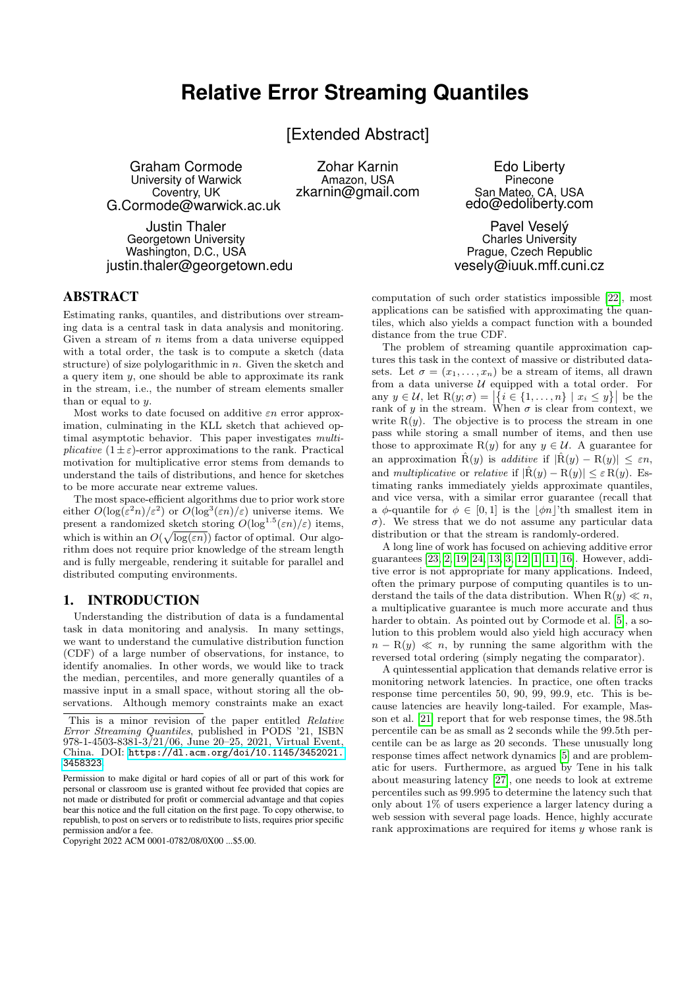# **Relative Error Streaming Quantiles**

[Extended Abstract]

Graham Cormode University of Warwick Coventry, UK G.Cormode@warwick.ac.uk

Justin Thaler Georgetown University Washington, D.C., USA justin.thaler@georgetown.edu

Zohar Karnin Amazon, USA zkarnin@gmail.com

Edo Liberty Pinecone San Mateo, CA, USA edo@edoliberty.com

Pavel Veselý Charles University Prague, Czech Republic vesely@iuuk.mff.cuni.cz

# ABSTRACT

Estimating ranks, quantiles, and distributions over streaming data is a central task in data analysis and monitoring. Given a stream of  $n$  items from a data universe equipped with a total order, the task is to compute a sketch (data structure) of size polylogarithmic in n. Given the sketch and a query item y, one should be able to approximate its rank in the stream, i.e., the number of stream elements smaller than or equal to  $y$ .

Most works to date focused on additive  $\varepsilon n$  error approximation, culminating in the KLL sketch that achieved optimal asymptotic behavior. This paper investigates multiplicative  $(1 \pm \varepsilon)$ -error approximations to the rank. Practical motivation for multiplicative error stems from demands to understand the tails of distributions, and hence for sketches to be more accurate near extreme values.

The most space-efficient algorithms due to prior work store either  $O(\log(\varepsilon^2 n)/\varepsilon^2)$  or  $O(\log^3(\varepsilon n)/\varepsilon)$  universe items. We present a randomized sketch storing  $O(\log^{1.5}(\varepsilon n)/\varepsilon)$  items, which is within an  $O(\sqrt{\log(\varepsilon n)})$  factor of optimal. Our algorithm does not require prior knowledge of the stream length and is fully mergeable, rendering it suitable for parallel and distributed computing environments.

## 1. INTRODUCTION

Understanding the distribution of data is a fundamental task in data monitoring and analysis. In many settings, we want to understand the cumulative distribution function (CDF) of a large number of observations, for instance, to identify anomalies. In other words, we would like to track the median, percentiles, and more generally quantiles of a massive input in a small space, without storing all the observations. Although memory constraints make an exact

computation of such order statistics impossible [\[22\]](#page-7-0), most applications can be satisfied with approximating the quantiles, which also yields a compact function with a bounded distance from the true CDF.

The problem of streaming quantile approximation captures this task in the context of massive or distributed datasets. Let  $\sigma = (x_1, \ldots, x_n)$  be a stream of items, all drawn from a data universe  $U$  equipped with a total order. For any  $y \in \mathcal{U}$ , let  $R(y; \sigma) = |\{i \in \{1, ..., n\} \mid x_i \leq y\}|$  be the rank of y in the stream. When  $\sigma$  is clear from context, we write  $R(y)$ . The objective is to process the stream in one pass while storing a small number of items, and then use those to approximate R(y) for any  $y \in \mathcal{U}$ . A guarantee for an approximation  $\hat{R}(y)$  is *additive* if  $|\hat{R}(y) - R(y)| \leq \varepsilon n$ , and multiplicative or relative if  $|\hat{R}(y) - R(y)| \leq \varepsilon R(y)$ . Estimating ranks immediately yields approximate quantiles, and vice versa, with a similar error guarantee (recall that a  $\phi$ -quantile for  $\phi \in [0, 1]$  is the  $|\phi_n|$ 'th smallest item in σ). We stress that we do not assume any particular data distribution or that the stream is randomly-ordered.

A long line of work has focused on achieving additive error guarantees [\[23,](#page-7-1) [2,](#page-7-2) [19,](#page-7-3) [24,](#page-7-4) [13,](#page-7-5) [3,](#page-7-6) [12,](#page-7-7) [1,](#page-7-8) [11,](#page-7-9) [16\]](#page-7-10). However, additive error is not appropriate for many applications. Indeed, often the primary purpose of computing quantiles is to understand the tails of the data distribution. When  $R(y) \ll n$ , a multiplicative guarantee is much more accurate and thus harder to obtain. As pointed out by Cormode et al. [\[5\]](#page-7-11), a solution to this problem would also yield high accuracy when  $n - R(y) \ll n$ , by running the same algorithm with the reversed total ordering (simply negating the comparator).

A quintessential application that demands relative error is monitoring network latencies. In practice, one often tracks response time percentiles 50, 90, 99, 99.9, etc. This is because latencies are heavily long-tailed. For example, Masson et al. [\[21\]](#page-7-12) report that for web response times, the 98.5th percentile can be as small as 2 seconds while the 99.5th percentile can be as large as 20 seconds. These unusually long response times affect network dynamics [\[5\]](#page-7-11) and are problematic for users. Furthermore, as argued by Tene in his talk about measuring latency [\[27\]](#page-7-13), one needs to look at extreme percentiles such as 99.995 to determine the latency such that only about 1% of users experience a larger latency during a web session with several page loads. Hence, highly accurate rank approximations are required for items y whose rank is

This is a minor revision of the paper entitled Relative Error Streaming Quantiles, published in PODS '21, ISBN 978-1-4503-8381-3/21/06, June 20–25, 2021, Virtual Event, China. DOI: [https://dl.acm.org/doi/10.1145/3452021.](https://dl.acm.org/doi/10.1145/3452021.3458323) [3458323](https://dl.acm.org/doi/10.1145/3452021.3458323).

Permission to make digital or hard copies of all or part of this work for personal or classroom use is granted without fee provided that copies are not made or distributed for profit or commercial advantage and that copies bear this notice and the full citation on the first page. To copy otherwise, to republish, to post on servers or to redistribute to lists, requires prior specific permission and/or a fee.

Copyright 2022 ACM 0001-0782/08/0X00 ...\$5.00.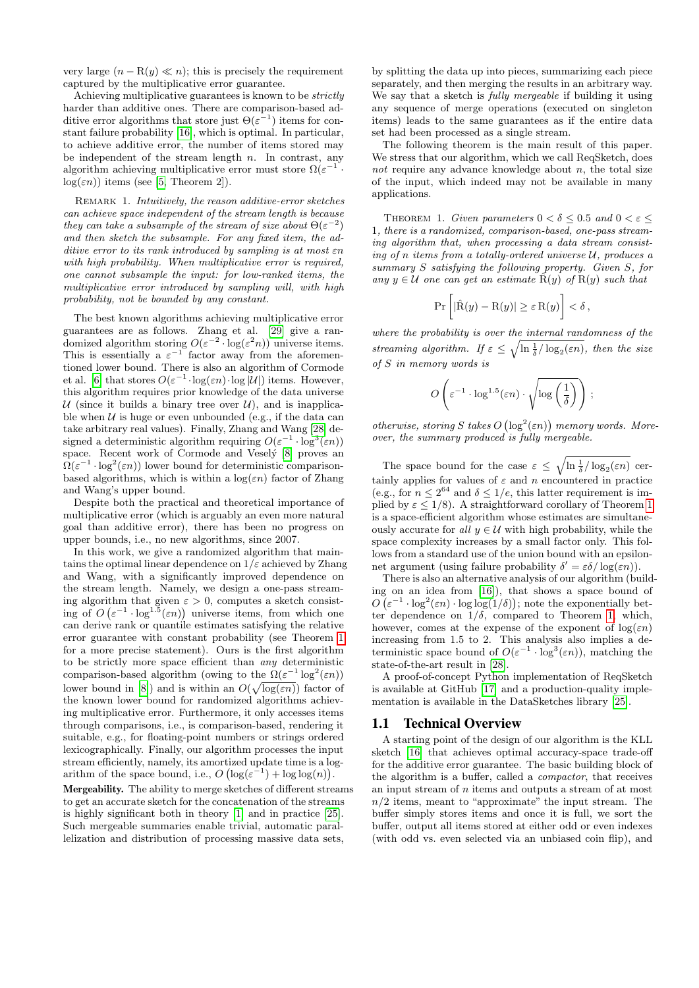very large  $(n - R(y) \ll n)$ ; this is precisely the requirement captured by the multiplicative error guarantee.

Achieving multiplicative guarantees is known to be strictly harder than additive ones. There are comparison-based additive error algorithms that store just  $\Theta(\varepsilon^{-1})$  items for constant failure probability [\[16\]](#page-7-10), which is optimal. In particular, to achieve additive error, the number of items stored may be independent of the stream length  $n$ . In contrast, any algorithm achieving multiplicative error must store  $\Omega(\varepsilon^{-1} \cdot$  $log(\varepsilon n)$  items (see [\[5,](#page-7-11) Theorem 2]).

REMARK 1. Intuitively, the reason additive-error sketches can achieve space independent of the stream length is because they can take a subsample of the stream of size about  $\Theta(\varepsilon^{-2})$ and then sketch the subsample. For any fixed item, the additive error to its rank introduced by sampling is at most εn with high probability. When multiplicative error is required, one cannot subsample the input: for low-ranked items, the multiplicative error introduced by sampling will, with high probability, not be bounded by any constant.

The best known algorithms achieving multiplicative error guarantees are as follows. Zhang et al. [\[29\]](#page-7-14) give a randomized algorithm storing  $O(\varepsilon^{-2} \cdot \log(\varepsilon^2 n))$  universe items. This is essentially a  $\varepsilon^{-1}$  factor away from the aforementioned lower bound. There is also an algorithm of Cormode et al. [\[6\]](#page-7-15) that stores  $O(\varepsilon^{-1} \cdot \log(\varepsilon n) \cdot \log |\mathcal{U}|)$  items. However, this algorithm requires prior knowledge of the data universe U (since it builds a binary tree over  $U$ ), and is inapplicable when  $U$  is huge or even unbounded (e.g., if the data can take arbitrary real values). Finally, Zhang and Wang [\[28\]](#page-7-16) designed a deterministic algorithm requiring  $O(\varepsilon^{-1} \cdot \log^3(\varepsilon n))$ space. Recent work of Cormode and Vesely [\[8\]](#page-7-17) proves an  $\Omega(\varepsilon^{-1} \cdot \log^2(\varepsilon n))$  lower bound for deterministic comparisonbased algorithms, which is within a  $log(\varepsilon n)$  factor of Zhang and Wang's upper bound.

Despite both the practical and theoretical importance of multiplicative error (which is arguably an even more natural goal than additive error), there has been no progress on upper bounds, i.e., no new algorithms, since 2007.

In this work, we give a randomized algorithm that maintains the optimal linear dependence on  $1/\varepsilon$  achieved by Zhang and Wang, with a significantly improved dependence on the stream length. Namely, we design a one-pass streaming algorithm that given  $\varepsilon > 0$ , computes a sketch consisting of  $O(\varepsilon^{-1} \cdot \log^{1.5}(\varepsilon n))$  universe items, from which one can derive rank or quantile estimates satisfying the relative error guarantee with constant probability (see Theorem [1](#page-1-0) for a more precise statement). Ours is the first algorithm to be strictly more space efficient than any deterministic comparison-based algorithm (owing to the  $\Omega(\varepsilon^{-1} \log^2(\varepsilon n))$ lower bound in [\[8\]](#page-7-17)) and is within an  $O(\sqrt{\log(\varepsilon n)})$  factor of the known lower bound for randomized algorithms achieving multiplicative error. Furthermore, it only accesses items through comparisons, i.e., is comparison-based, rendering it suitable, e.g., for floating-point numbers or strings ordered lexicographically. Finally, our algorithm processes the input stream efficiently, namely, its amortized update time is a logarithm of the space bound, i.e.,  $O\left(\log(\varepsilon^{-1}) + \log \log(n)\right)$ .

Mergeability. The ability to merge sketches of different streams to get an accurate sketch for the concatenation of the streams is highly significant both in theory [\[1\]](#page-7-8) and in practice [\[25\]](#page-7-18). Such mergeable summaries enable trivial, automatic parallelization and distribution of processing massive data sets,

by splitting the data up into pieces, summarizing each piece separately, and then merging the results in an arbitrary way. We say that a sketch is *fully mergeable* if building it using any sequence of merge operations (executed on singleton items) leads to the same guarantees as if the entire data set had been processed as a single stream.

The following theorem is the main result of this paper. We stress that our algorithm, which we call ReqSketch, does not require any advance knowledge about  $n$ , the total size of the input, which indeed may not be available in many applications.

<span id="page-1-0"></span>THEOREM 1. Given parameters  $0 < \delta \leq 0.5$  and  $0 < \varepsilon \leq$ 1, there is a randomized, comparison-based, one-pass streaming algorithm that, when processing a data stream consisting of n items from a totally-ordered universe  $U$ , produces a summary S satisfying the following property. Given S, for any  $y \in \mathcal{U}$  one can get an estimate  $\hat{R}(y)$  of  $R(y)$  such that

$$
\Pr\left[|\hat{R}(y) - R(y)| \ge \varepsilon R(y)\right] < \delta,
$$

where the probability is over the internal randomness of the streaming algorithm. If  $\varepsilon \leq \sqrt{\ln \frac{1}{\delta} / \log_2(\varepsilon n)}$ , then the size of S in memory words is

$$
O\left(\varepsilon^{-1}\cdot \log^{1.5}(\varepsilon n)\cdot \sqrt{\log\left(\frac{1}{\delta}\right)}\right);
$$

otherwise, storing S takes  $O\left(\log^2(\varepsilon n)\right)$  memory words. Moreover, the summary produced is fully mergeable.

The space bound for the case  $\varepsilon \leq \sqrt{\ln \frac{1}{\delta} / \log_2(\varepsilon n)}$  certainly applies for values of  $\varepsilon$  and n encountered in practice (e.g., for  $n \leq 2^{64}$  and  $\delta \leq 1/e$ , this latter requirement is implied by  $\varepsilon \leq 1/8$  $\varepsilon \leq 1/8$  $\varepsilon \leq 1/8$ ). A straightforward corollary of Theorem 1 is a space-efficient algorithm whose estimates are simultaneously accurate for all  $y \in \mathcal{U}$  with high probability, while the space complexity increases by a small factor only. This follows from a standard use of the union bound with an epsilonnet argument (using failure probability  $\delta' = \varepsilon \delta / \log(\varepsilon n)$ ).

There is also an alternative analysis of our algorithm (building on an idea from [\[16\]](#page-7-10)), that shows a space bound of  $O\left(\varepsilon^{-1} \cdot \log^2(\varepsilon n) \cdot \log \log(1/\delta)\right)$ ; note the exponentially better dependence on  $1/\delta$ , compared to Theorem [1,](#page-1-0) which, however, comes at the expense of the exponent of  $log(\varepsilon n)$ increasing from 1.5 to 2. This analysis also implies a deterministic space bound of  $O(\varepsilon^{-1} \cdot \log^3(\varepsilon n))$ , matching the state-of-the-art result in [\[28\]](#page-7-16).

A proof-of-concept Python implementation of ReqSketch is available at GitHub [\[17\]](#page-7-19) and a production-quality implementation is available in the DataSketches library [\[25\]](#page-7-18).

## 1.1 Technical Overview

A starting point of the design of our algorithm is the KLL sketch [\[16\]](#page-7-10) that achieves optimal accuracy-space trade-off for the additive error guarantee. The basic building block of the algorithm is a buffer, called a compactor, that receives an input stream of n items and outputs a stream of at most  $n/2$  items, meant to "approximate" the input stream. The buffer simply stores items and once it is full, we sort the buffer, output all items stored at either odd or even indexes (with odd vs. even selected via an unbiased coin flip), and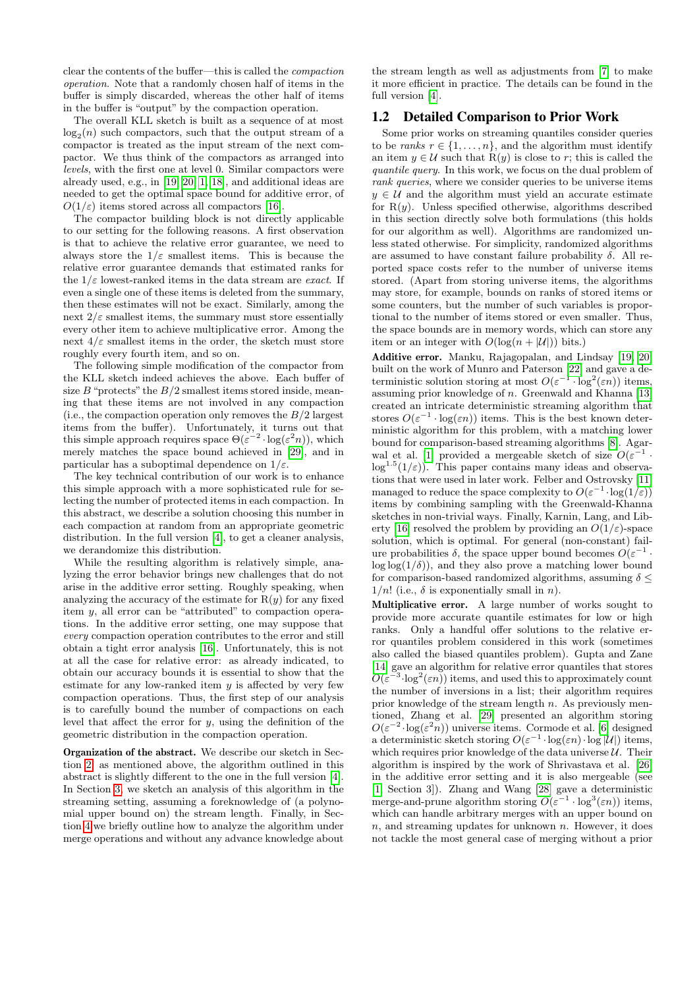clear the contents of the buffer—this is called the compaction operation. Note that a randomly chosen half of items in the buffer is simply discarded, whereas the other half of items in the buffer is "output" by the compaction operation.

The overall KLL sketch is built as a sequence of at most  $log<sub>2</sub>(n)$  such compactors, such that the output stream of a compactor is treated as the input stream of the next compactor. We thus think of the compactors as arranged into levels, with the first one at level 0. Similar compactors were already used, e.g., in [\[19,](#page-7-3) [20,](#page-7-20) [1,](#page-7-8) [18\]](#page-7-21), and additional ideas are needed to get the optimal space bound for additive error, of  $O(1/\varepsilon)$  items stored across all compactors [\[16\]](#page-7-10).

The compactor building block is not directly applicable to our setting for the following reasons. A first observation is that to achieve the relative error guarantee, we need to always store the  $1/\varepsilon$  smallest items. This is because the relative error guarantee demands that estimated ranks for the  $1/\varepsilon$  lowest-ranked items in the data stream are *exact*. If even a single one of these items is deleted from the summary, then these estimates will not be exact. Similarly, among the next  $2/\varepsilon$  smallest items, the summary must store essentially every other item to achieve multiplicative error. Among the next  $4/\varepsilon$  smallest items in the order, the sketch must store roughly every fourth item, and so on.

The following simple modification of the compactor from the KLL sketch indeed achieves the above. Each buffer of size  $B$  "protects" the  $B/2$  smallest items stored inside, meaning that these items are not involved in any compaction (i.e., the compaction operation only removes the  $B/2$  largest items from the buffer). Unfortunately, it turns out that this simple approach requires space  $\Theta(\varepsilon^{-2} \cdot \log(\varepsilon^2 n))$ , which merely matches the space bound achieved in [\[29\]](#page-7-14), and in particular has a suboptimal dependence on  $1/\varepsilon$ .

The key technical contribution of our work is to enhance this simple approach with a more sophisticated rule for selecting the number of protected items in each compaction. In this abstract, we describe a solution choosing this number in each compaction at random from an appropriate geometric distribution. In the full version [\[4\]](#page-7-22), to get a cleaner analysis, we derandomize this distribution.

While the resulting algorithm is relatively simple, analyzing the error behavior brings new challenges that do not arise in the additive error setting. Roughly speaking, when analyzing the accuracy of the estimate for  $R(y)$  for any fixed item y, all error can be "attributed" to compaction operations. In the additive error setting, one may suppose that every compaction operation contributes to the error and still obtain a tight error analysis [\[16\]](#page-7-10). Unfortunately, this is not at all the case for relative error: as already indicated, to obtain our accuracy bounds it is essential to show that the estimate for any low-ranked item  $y$  is affected by very few compaction operations. Thus, the first step of our analysis is to carefully bound the number of compactions on each level that affect the error for  $y$ , using the definition of the geometric distribution in the compaction operation.

Organization of the abstract. We describe our sketch in Section [2;](#page-3-0) as mentioned above, the algorithm outlined in this abstract is slightly different to the one in the full version [\[4\]](#page-7-22). In Section [3,](#page-5-0) we sketch an analysis of this algorithm in the streaming setting, assuming a foreknowledge of (a polynomial upper bound on) the stream length. Finally, in Section [4](#page-6-0) we briefly outline how to analyze the algorithm under merge operations and without any advance knowledge about

the stream length as well as adjustments from [\[7\]](#page-7-23) to make it more efficient in practice. The details can be found in the full version [\[4\]](#page-7-22).

## 1.2 Detailed Comparison to Prior Work

Some prior works on streaming quantiles consider queries to be ranks  $r \in \{1, \ldots, n\}$ , and the algorithm must identify an item  $y \in \mathcal{U}$  such that  $R(y)$  is close to r; this is called the quantile query. In this work, we focus on the dual problem of rank queries, where we consider queries to be universe items  $y \in \mathcal{U}$  and the algorithm must yield an accurate estimate for  $R(y)$ . Unless specified otherwise, algorithms described in this section directly solve both formulations (this holds for our algorithm as well). Algorithms are randomized unless stated otherwise. For simplicity, randomized algorithms are assumed to have constant failure probability  $\delta$ . All reported space costs refer to the number of universe items stored. (Apart from storing universe items, the algorithms may store, for example, bounds on ranks of stored items or some counters, but the number of such variables is proportional to the number of items stored or even smaller. Thus, the space bounds are in memory words, which can store any item or an integer with  $O(\log(n + |\mathcal{U}|))$  bits.)

Additive error. Manku, Rajagopalan, and Lindsay [\[19,](#page-7-3) [20\]](#page-7-20) built on the work of Munro and Paterson [\[22\]](#page-7-0) and gave a deterministic solution storing at most  $O(\varepsilon^{-1} \cdot \log^2(\varepsilon n))$  items, assuming prior knowledge of n. Greenwald and Khanna [\[13\]](#page-7-5) created an intricate deterministic streaming algorithm that stores  $O(\varepsilon^{-1} \cdot \log(\varepsilon n))$  items. This is the best known deterministic algorithm for this problem, with a matching lower bound for comparison-based streaming algorithms [\[8\]](#page-7-17). Agar-wal et al. [\[1\]](#page-7-8) provided a mergeable sketch of size  $O(\varepsilon^{-1}$ .  $\log^{1.5}(1/\varepsilon)$ . This paper contains many ideas and observations that were used in later work. Felber and Ostrovsky [\[11\]](#page-7-9) managed to reduce the space complexity to  $O(\varepsilon^{-1} \cdot \log(1/\varepsilon))$ items by combining sampling with the Greenwald-Khanna sketches in non-trivial ways. Finally, Karnin, Lang, and Lib-erty [\[16\]](#page-7-10) resolved the problem by providing an  $O(1/\varepsilon)$ -space solution, which is optimal. For general (non-constant) failure probabilities  $\delta$ , the space upper bound becomes  $O(\varepsilon^{-1})$ .  $\log \log(1/\delta)$ , and they also prove a matching lower bound for comparison-based randomized algorithms, assuming  $\delta \leq$  $1/n!$  (i.e.,  $\delta$  is exponentially small in n).

Multiplicative error. A large number of works sought to provide more accurate quantile estimates for low or high ranks. Only a handful offer solutions to the relative error quantiles problem considered in this work (sometimes also called the biased quantiles problem). Gupta and Zane [\[14\]](#page-7-24) gave an algorithm for relative error quantiles that stores  $O(\varepsilon^{-3} \log^2(\varepsilon n))$  items, and used this to approximately count the number of inversions in a list; their algorithm requires prior knowledge of the stream length  $n$ . As previously mentioned, Zhang et al. [\[29\]](#page-7-14) presented an algorithm storing  $O(\varepsilon^{-2} \cdot \log(\varepsilon^2 n))$  universe items. Cormode et al. [\[6\]](#page-7-15) designed a deterministic sketch storing  $O(\varepsilon^{-1} \cdot \log(\varepsilon n) \cdot \log |\mathcal{U}|)$  items, which requires prior knowledge of the data universe  $U$ . Their algorithm is inspired by the work of Shrivastava et al. [\[26\]](#page-7-25) in the additive error setting and it is also mergeable (see [\[1,](#page-7-8) Section 3]). Zhang and Wang [\[28\]](#page-7-16) gave a deterministic merge-and-prune algorithm storing  $O(\varepsilon^{-1} \cdot \log^3(\varepsilon n))$  items, which can handle arbitrary merges with an upper bound on  $n$ , and streaming updates for unknown  $n$ . However, it does not tackle the most general case of merging without a prior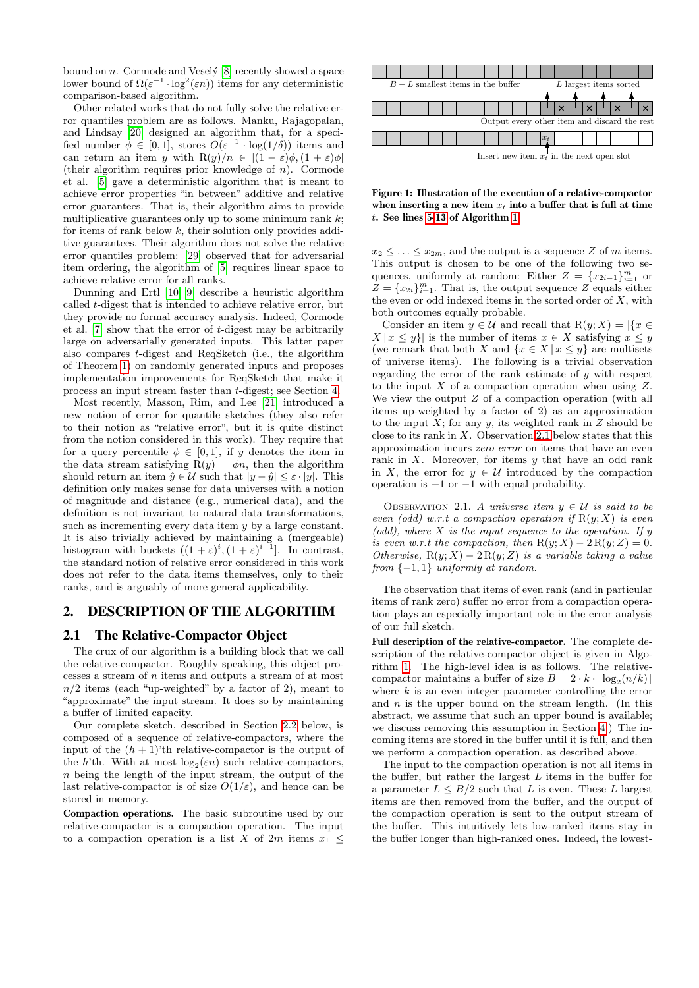bound on  $n$ . Cormode and Vesely  $[8]$  recently showed a space lower bound of  $\Omega(\varepsilon^{-1} \cdot \log^2(\varepsilon n))$  items for any deterministic comparison-based algorithm.

Other related works that do not fully solve the relative error quantiles problem are as follows. Manku, Rajagopalan, and Lindsay [\[20\]](#page-7-20) designed an algorithm that, for a specified number  $\phi \in [0,1]$ , stores  $O(\varepsilon^{-1} \cdot \log(1/\delta))$  items and can return an item y with  $R(y)/n \in [(1-\varepsilon)\phi, (1+\varepsilon)\phi]$ (their algorithm requires prior knowledge of  $n$ ). Cormode et al. [\[5\]](#page-7-11) gave a deterministic algorithm that is meant to achieve error properties "in between" additive and relative error guarantees. That is, their algorithm aims to provide multiplicative guarantees only up to some minimum rank  $k$ ; for items of rank below  $k$ , their solution only provides additive guarantees. Their algorithm does not solve the relative error quantiles problem: [\[29\]](#page-7-14) observed that for adversarial item ordering, the algorithm of [\[5\]](#page-7-11) requires linear space to achieve relative error for all ranks.

Dunning and Ertl [\[10,](#page-7-26) [9\]](#page-7-27) describe a heuristic algorithm called t-digest that is intended to achieve relative error, but they provide no formal accuracy analysis. Indeed, Cormode et al. [\[7\]](#page-7-23) show that the error of t-digest may be arbitrarily large on adversarially generated inputs. This latter paper also compares t-digest and ReqSketch (i.e., the algorithm of Theorem [1\)](#page-1-0) on randomly generated inputs and proposes implementation improvements for ReqSketch that make it process an input stream faster than t-digest; see Section [4.](#page-6-0)

Most recently, Masson, Rim, and Lee [\[21\]](#page-7-12) introduced a new notion of error for quantile sketches (they also refer to their notion as "relative error", but it is quite distinct from the notion considered in this work). They require that for a query percentile  $\phi \in [0, 1]$ , if y denotes the item in the data stream satisfying  $R(y) = \phi n$ , then the algorithm should return an item  $\hat{y} \in \mathcal{U}$  such that  $|y - \hat{y}| \leq \varepsilon \cdot |y|$ . This definition only makes sense for data universes with a notion of magnitude and distance (e.g., numerical data), and the definition is not invariant to natural data transformations, such as incrementing every data item y by a large constant. It is also trivially achieved by maintaining a (mergeable) histogram with buckets  $((1+\varepsilon)^i, (1+\varepsilon)^{i+1}]$ . In contrast, the standard notion of relative error considered in this work does not refer to the data items themselves, only to their ranks, and is arguably of more general applicability.

# <span id="page-3-0"></span>2. DESCRIPTION OF THE ALGORITHM

#### 2.1 The Relative-Compactor Object

The crux of our algorithm is a building block that we call the relative-compactor. Roughly speaking, this object processes a stream of n items and outputs a stream of at most  $n/2$  items (each "up-weighted" by a factor of 2), meant to "approximate" the input stream. It does so by maintaining a buffer of limited capacity.

Our complete sketch, described in Section [2.2](#page-4-0) below, is composed of a sequence of relative-compactors, where the input of the  $(h + 1)$ 'th relative-compactor is the output of the h'th. With at most  $log_2(\varepsilon n)$  such relative-compactors, n being the length of the input stream, the output of the last relative-compactor is of size  $O(1/\varepsilon)$ , and hence can be stored in memory.

Compaction operations. The basic subroutine used by our relative-compactor is a compaction operation. The input to a compaction operation is a list X of 2m items  $x_1 \leq$ 



Figure 1: Illustration of the execution of a relative-compactor when inserting a new item  $x_t$  into a buffer that is full at time t. See lines [5-13](#page-4-1) of Algorithm [1.](#page-4-1)

 $x_2 \leq \ldots \leq x_{2m}$ , and the output is a sequence Z of m items. This output is chosen to be one of the following two sequences, uniformly at random: Either  $Z = \{x_{2i-1}\}_{i=1}^m$  or  $Z = \{x_{2i}\}_{i=1}^m$ . That is, the output sequence Z equals either the even or odd indexed items in the sorted order of  $X$ , with both outcomes equally probable.

Consider an item  $y \in \mathcal{U}$  and recall that  $R(y; X) = |\{x \in$  $X | x \leq y$  is the number of items  $x \in X$  satisfying  $x \leq y$ (we remark that both X and  $\{x \in X | x \leq y\}$  are multisets of universe items). The following is a trivial observation regarding the error of the rank estimate of y with respect to the input  $X$  of a compaction operation when using  $Z$ . We view the output  $Z$  of a compaction operation (with all items up-weighted by a factor of 2) as an approximation to the input  $X$ ; for any  $y$ , its weighted rank in  $Z$  should be close to its rank in  $X$ . Observation [2.1](#page-3-1) below states that this approximation incurs zero error on items that have an even rank in  $X$ . Moreover, for items  $y$  that have an odd rank in X, the error for  $y \in U$  introduced by the compaction operation is  $+1$  or  $-1$  with equal probability.

<span id="page-3-1"></span>OBSERVATION 2.1. A universe item  $y \in \mathcal{U}$  is said to be even (odd) w.r.t a compaction operation if  $R(y; X)$  is even  $(odd)$ , where X is the input sequence to the operation. If y is even w.r.t the compaction, then  $R(y; X) - 2R(y; Z) = 0$ . Otherwise,  $R(y; X) - 2R(y; Z)$  is a variable taking a value from  $\{-1, 1\}$  uniformly at random.

The observation that items of even rank (and in particular items of rank zero) suffer no error from a compaction operation plays an especially important role in the error analysis of our full sketch.

Full description of the relative-compactor. The complete description of the relative-compactor object is given in Algorithm [1.](#page-4-1) The high-level idea is as follows. The relativecompactor maintains a buffer of size  $B = 2 \cdot k \cdot \lceil \log_2(n/k) \rceil$ where  $k$  is an even integer parameter controlling the error and  $n$  is the upper bound on the stream length. (In this abstract, we assume that such an upper bound is available; we discuss removing this assumption in Section [4.](#page-6-0)) The incoming items are stored in the buffer until it is full, and then we perform a compaction operation, as described above.

The input to the compaction operation is not all items in the buffer, but rather the largest  $L$  items in the buffer for a parameter  $L \leq B/2$  such that L is even. These L largest items are then removed from the buffer, and the output of the compaction operation is sent to the output stream of the buffer. This intuitively lets low-ranked items stay in the buffer longer than high-ranked ones. Indeed, the lowest-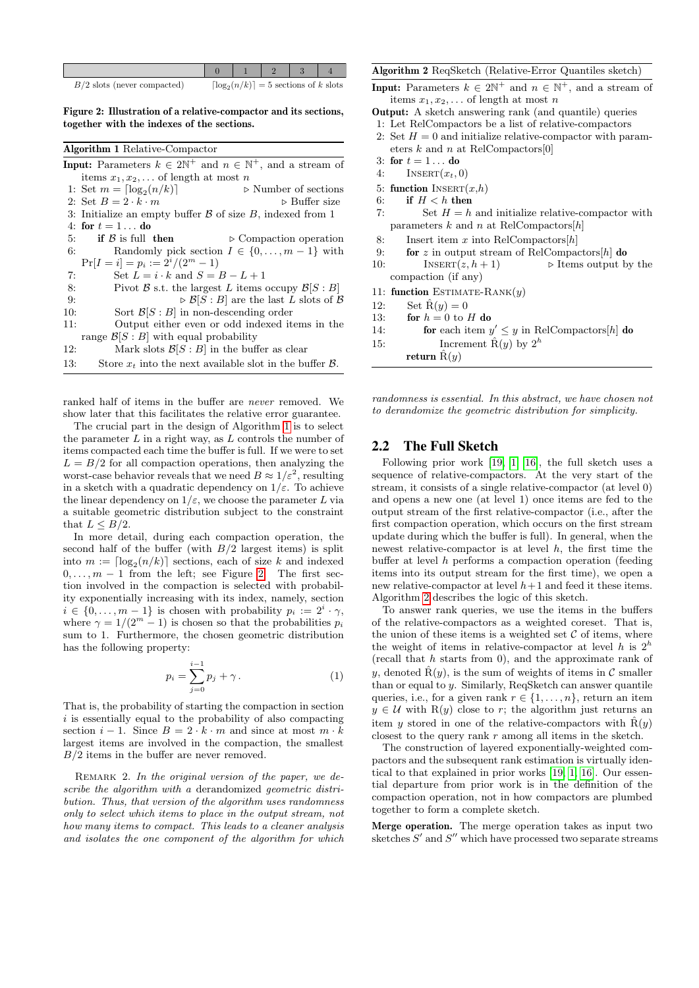| $B/2$ slots (never compacted) |  | $\lceil \log_2(n/k) \rceil = 5$ sections of k slots |  |
|-------------------------------|--|-----------------------------------------------------|--|

<span id="page-4-2"></span>Figure 2: Illustration of a relative-compactor and its sections, together with the indexes of the sections.

<span id="page-4-1"></span>

| <b>Algorithm 1 Relative-Compactor</b> |  |  |  |
|---------------------------------------|--|--|--|
|---------------------------------------|--|--|--|

|     | <b>Input:</b> Parameters $k \in 2\mathbb{N}^+$ and $n \in \mathbb{N}^+$ , and a stream of |
|-----|-------------------------------------------------------------------------------------------|
|     | items $x_1, x_2, \ldots$ of length at most n                                              |
|     | 1: Set $m = \lfloor \log_2(n/k) \rfloor$<br>$\triangleright$ Number of sections           |
|     | 2: Set $B=2\cdot k\cdot m$<br>$\triangleright$ Buffer size                                |
|     | 3: Initialize an empty buffer $\beta$ of size $B$ , indexed from 1                        |
|     | 4: for $t = 1$ do                                                                         |
|     | if $\beta$ is full then<br>5:<br>$\triangleright$ Compaction operation                    |
|     | Randomly pick section $I \in \{0, , m-1\}$ with<br>6:                                     |
|     | $Pr[I = i] = p_i := 2^{i}/(2^{m} - 1)$                                                    |
| 7:  | Set $L = i \cdot k$ and $S = B - L + 1$                                                   |
| 8:  | Pivot $\beta$ s.t. the largest L items occupy $\beta[S: B]$                               |
| 9:  | $\triangleright$ $\mathcal{B}[S: B]$ are the last L slots of $\mathcal{B}$                |
| 10: | Sort $\mathcal{B}[S : B]$ in non-descending order                                         |
| 11: | Output either even or odd indexed items in the                                            |
|     | range $\mathcal{B}[S : B]$ with equal probability                                         |
| 12: | Mark slots $\mathcal{B}[S : B]$ in the buffer as clear                                    |
| 13: | Store $x_t$ into the next available slot in the buffer $\beta$ .                          |

ranked half of items in the buffer are never removed. We show later that this facilitates the relative error guarantee.

The crucial part in the design of Algorithm [1](#page-4-1) is to select the parameter  $L$  in a right way, as  $L$  controls the number of items compacted each time the buffer is full. If we were to set  $L = B/2$  for all compaction operations, then analyzing the worst-case behavior reveals that we need  $B \approx 1/\varepsilon^2$ , resulting in a sketch with a quadratic dependency on  $1/\varepsilon$ . To achieve the linear dependency on  $1/\varepsilon$ , we choose the parameter L via a suitable geometric distribution subject to the constraint that  $L < B/2$ .

In more detail, during each compaction operation, the second half of the buffer (with  $B/2$  largest items) is split into  $m := \lceil \log_2(n/k) \rceil$  sections, each of size k and indexed  $0, \ldots, m - 1$  from the left; see Figure [2.](#page-4-2) The first section involved in the compaction is selected with probability exponentially increasing with its index, namely, section  $i \in \{0, \ldots, m-1\}$  is chosen with probability  $p_i := 2^i \cdot \gamma$ , where  $\gamma = 1/(2^m - 1)$  is chosen so that the probabilities  $p_i$ sum to 1. Furthermore, the chosen geometric distribution has the following property:

<span id="page-4-4"></span>
$$
p_i = \sum_{j=0}^{i-1} p_j + \gamma \,.
$$
 (1)

That is, the probability of starting the compaction in section  $i$  is essentially equal to the probability of also compacting section  $i - 1$ . Since  $B = 2 \cdot k \cdot m$  and since at most  $m \cdot k$ largest items are involved in the compaction, the smallest  $B/2$  items in the buffer are never removed.

REMARK 2. In the original version of the paper, we describe the algorithm with a derandomized geometric distribution. Thus, that version of the algorithm uses randomness only to select which items to place in the output stream, not how many items to compact. This leads to a cleaner analysis and isolates the one component of the algorithm for which

#### <span id="page-4-3"></span>Algorithm 2 ReqSketch (Relative-Error Quantiles sketch)

**Input:** Parameters  $k \in 2\mathbb{N}^+$  and  $n \in \mathbb{N}^+$ , and a stream of items  $x_1, x_2, \ldots$  of length at most n

- Output: A sketch answering rank (and quantile) queries
- 1: Let RelCompactors be a list of relative-compactors
- 2: Set  $H = 0$  and initialize relative-compactor with parameters  $k$  and  $n$  at RelCompactors[0]
- 3: for  $t = 1...$  do
- 4: INSERT $(x_t, 0)$
- 5: function INSERT $(x,h)$
- 6: if  $H < h$  then
- 
- 7: Set  $H = h$  and initialize relative-compactor with parameters  $k$  and  $n$  at RelCompactors $[h]$
- 8: Insert item x into RelCompactors $[h]$
- 9: **for** z in output stream of RelCompactors $[h]$  do
- 10: INSERT $(z, h + 1)$   $\triangleright$  Items output by the compaction (if any)
- 11: function ESTIMATE-RANK $(y)$
- 12: Set  $\hat{\mathbf{R}}(y) = 0$
- 13: for  $h = 0$  to H do
- 14: **for** each item  $y' \leq y$  in RelCompactors[h] do
- 15: Increment  $\hat{R}(y)$  by  $2^h$
- return  $\ddot{R}(y)$

randomness is essential. In this abstract, we have chosen not to derandomize the geometric distribution for simplicity.

#### <span id="page-4-0"></span>2.2 The Full Sketch

Following prior work [\[19,](#page-7-3) [1,](#page-7-8) [16\]](#page-7-10), the full sketch uses a sequence of relative-compactors. At the very start of the stream, it consists of a single relative-compactor (at level 0) and opens a new one (at level 1) once items are fed to the output stream of the first relative-compactor (i.e., after the first compaction operation, which occurs on the first stream update during which the buffer is full). In general, when the newest relative-compactor is at level  $h$ , the first time the buffer at level h performs a compaction operation (feeding items into its output stream for the first time), we open a new relative-compactor at level  $h+1$  and feed it these items. Algorithm [2](#page-4-3) describes the logic of this sketch.

To answer rank queries, we use the items in the buffers of the relative-compactors as a weighted coreset. That is, the union of these items is a weighted set  $C$  of items, where the weight of items in relative-compactor at level h is  $2^h$ (recall that  $h$  starts from 0), and the approximate rank of y, denoted  $\hat{R}(y)$ , is the sum of weights of items in C smaller than or equal to y. Similarly, ReqSketch can answer quantile queries, i.e., for a given rank  $r \in \{1, \ldots, n\}$ , return an item  $y \in \mathcal{U}$  with R(y) close to r; the algorithm just returns an item y stored in one of the relative-compactors with  $\hat{R}(y)$ closest to the query rank r among all items in the sketch.

The construction of layered exponentially-weighted compactors and the subsequent rank estimation is virtually identical to that explained in prior works [\[19,](#page-7-3) [1,](#page-7-8) [16\]](#page-7-10). Our essential departure from prior work is in the definition of the compaction operation, not in how compactors are plumbed together to form a complete sketch.

Merge operation. The merge operation takes as input two sketches  $S'$  and  $S''$  which have processed two separate streams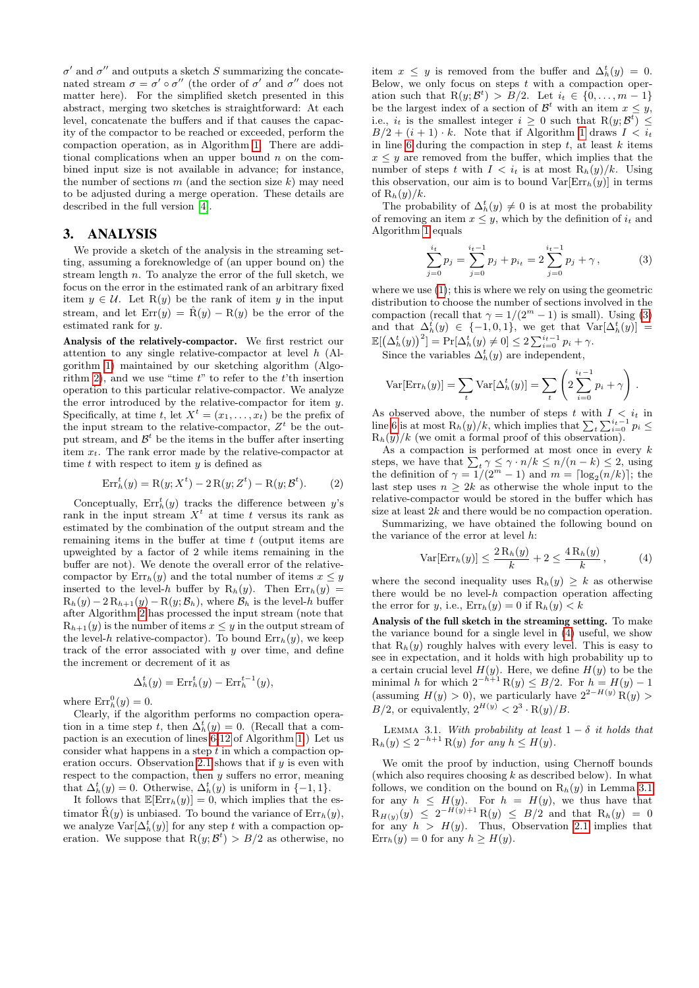$\sigma'$  and  $\sigma''$  and outputs a sketch S summarizing the concatenated stream  $\sigma = \sigma' \circ \sigma''$  (the order of  $\sigma'$  and  $\sigma''$  does not matter here). For the simplified sketch presented in this abstract, merging two sketches is straightforward: At each level, concatenate the buffers and if that causes the capacity of the compactor to be reached or exceeded, perform the compaction operation, as in Algorithm [1.](#page-4-1) There are additional complications when an upper bound  $n$  on the combined input size is not available in advance; for instance, the number of sections  $m$  (and the section size  $k$ ) may need to be adjusted during a merge operation. These details are described in the full version [\[4\]](#page-7-22).

## 3. ANALYSIS

We provide a sketch of the analysis in the streaming setting, assuming a foreknowledge of (an upper bound on) the stream length  $n$ . To analyze the error of the full sketch, we focus on the error in the estimated rank of an arbitrary fixed item  $y \in \mathcal{U}$ . Let R(y) be the rank of item y in the input stream, and let  $Err(y) = \hat{R}(y) - R(y)$  be the error of the estimated rank for y.

Analysis of the relatively-compactor. We first restrict our attention to any single relative-compactor at level h (Algorithm [1\)](#page-4-1) maintained by our sketching algorithm (Algo-rithm [2\)](#page-4-3), and we use "time  $t$ " to refer to the  $t$ 'th insertion operation to this particular relative-compactor. We analyze the error introduced by the relative-compactor for item y. Specifically, at time t, let  $X^t = (x_1, \ldots, x_t)$  be the prefix of the input stream to the relative-compactor,  $Z<sup>t</sup>$  be the output stream, and  $\mathcal{B}^t$  be the items in the buffer after inserting item  $x_t$ . The rank error made by the relative-compactor at time  $t$  with respect to item  $y$  is defined as

$$
Err_h^t(y) = R(y; X^t) - 2R(y; Z^t) - R(y; \mathcal{B}^t).
$$
 (2)

Conceptually,  $Err_h^t(y)$  tracks the difference between y's rank in the input stream  $X<sup>t</sup>$  at time t versus its rank as estimated by the combination of the output stream and the remaining items in the buffer at time  $t$  (output items are upweighted by a factor of 2 while items remaining in the buffer are not). We denote the overall error of the relativecompactor by  $\text{Err}_h(y)$  and the total number of items  $x \leq y$ inserted to the level-h buffer by  $R_h(y)$ . Then  $Err_h(y)$  =  $R_h(y) - 2R_{h+1}(y) - R(y; B_h)$ , where  $B_h$  is the level-h buffer after Algorithm [2](#page-4-3) has processed the input stream (note that  $R_{h+1}(y)$  is the number of items  $x \leq y$  in the output stream of the level-h relative-compactor). To bound  $Err_h(y)$ , we keep track of the error associated with  $y$  over time, and define the increment or decrement of it as

$$
\Delta_h^t(y) = \operatorname{Err}_h^t(y) - \operatorname{Err}_h^{t-1}(y),
$$

where  $\text{Err}_h^0(y) = 0$ .

Clearly, if the algorithm performs no compaction operation in a time step t, then  $\Delta_h^t(y) = 0$ . (Recall that a compaction is an execution of lines [6-12](#page-4-1) of Algorithm [1.](#page-4-1)) Let us consider what happens in a step  $t$  in which a compaction op-eration occurs. Observation [2.1](#page-3-1) shows that if  $y$  is even with respect to the compaction, then y suffers no error, meaning that  $\Delta_h^t(y) = 0$ . Otherwise,  $\Delta_h^t(y)$  is uniform in  $\{-1, 1\}$ .

It follows that  $\mathbb{E}[\text{Err}_h(y)] = 0$ , which implies that the estimator  $\hat{R}(y)$  is unbiased. To bound the variance of  $Err_h(y)$ , we analyze  $\text{Var}[\Delta_h^t(y)]$  for any step t with a compaction operation. We suppose that  $R(y; \mathcal{B}^t) > B/2$  as otherwise, no

item  $x \leq y$  is removed from the buffer and  $\Delta_h^t(y) = 0$ . Below, we only focus on steps  $t$  with a compaction operation such that  $R(y; B<sup>t</sup>) > B/2$ . Let  $i_t \in \{0, ..., m-1\}$ be the largest index of a section of  $\mathcal{B}^t$  with an item  $x \leq y$ , i.e.,  $i_t$  is the smallest integer  $i \geq 0$  such that  $R(y; \mathcal{B}^t) \leq$  $B/2 + (i + 1) \cdot k$  $B/2 + (i + 1) \cdot k$  $B/2 + (i + 1) \cdot k$ . Note that if Algorithm 1 draws  $I < i_t$ in line [6](#page-4-1) during the compaction in step  $t$ , at least  $k$  items  $x \leq y$  are removed from the buffer, which implies that the number of steps t with  $I < i_t$  is at most  $R_h(y)/k$ . Using this observation, our aim is to bound  $Var[Err_h(y)]$  in terms of  $R_h(y)/k$ .

The probability of  $\Delta_h^t(y) \neq 0$  is at most the probability of removing an item  $x \leq y$ , which by the definition of  $i_t$  and Algorithm [1](#page-4-1) equals

<span id="page-5-1"></span>
$$
\sum_{j=0}^{i_t} p_j = \sum_{j=0}^{i_t-1} p_j + p_{i_t} = 2 \sum_{j=0}^{i_t-1} p_j + \gamma, \qquad (3)
$$

where we use  $(1)$ ; this is where we rely on using the geometric distribution to choose the number of sections involved in the compaction (recall that  $\gamma = 1/(2^m - 1)$  is small). Using [\(3\)](#page-5-1) and that  $\Delta_h^t(y) \in \{-1,0,1\}$ , we get that  $\text{Var}[\Delta_h^t(y)] =$  $\mathbb{E}[\left(\Delta_h^t(y)\right)^2] = \Pr[\Delta_h^t(y) \neq 0] \leq 2 \sum_{i=0}^{i_t-1} p_i + \gamma.$ 

Since the variables  $\Delta_h^t(y)$  are independent,

$$
\text{Var}[\text{Err}_h(y)] = \sum_t \text{Var}[\Delta_h^t(y)] = \sum_t \left( 2 \sum_{i=0}^{i_t - 1} p_i + \gamma \right).
$$

As observed above, the number of steps t with  $I \leq i_t$  in line [6](#page-4-1) is at most  $R_h(y)/k$ , which implies that  $\sum_t \sum_{i=0}^{i_t-1} p_i \leq$  $R_h(y)/k$  (we omit a formal proof of this observation).

As a compaction is performed at most once in every  $k$ steps, we have that  $\sum_t \gamma \leq \gamma \cdot n/k \leq n/(n-k) \leq 2$ , using the definition of  $\gamma = 1/(2^m - 1)$  and  $m = \lceil \log_2(n/k) \rceil$ ; the last step uses  $n \geq 2k$  as otherwise the whole input to the relative-compactor would be stored in the buffer which has size at least 2k and there would be no compaction operation.

Summarizing, we have obtained the following bound on the variance of the error at level h:

<span id="page-5-2"></span>
$$
\text{Var}[\text{Err}_h(y)] \le \frac{2\,\text{R}_h(y)}{k} + 2 \le \frac{4\,\text{R}_h(y)}{k} \,,\tag{4}
$$

where the second inequality uses  $R_h(y) \geq k$  as otherwise there would be no level- $h$  compaction operation affecting the error for y, i.e.,  $Err_h(y) = 0$  if  $R_h(y) < k$ 

Analysis of the full sketch in the streaming setting. To make the variance bound for a single level in [\(4\)](#page-5-2) useful, we show that  $R_h(y)$  roughly halves with every level. This is easy to see in expectation, and it holds with high probability up to a certain crucial level  $H(y)$ . Here, we define  $H(y)$  to be the minimal h for which  $2^{-h+1} R(y) \leq B/2$ . For  $h = H(y) - 1$ (assuming  $H(y) > 0$ ), we particularly have  $2^{2-H(y)}R(y) > 0$  $B/2$ , or equivalently,  $2^{H(y)} < 2^3 \cdot R(y)/B$ .

<span id="page-5-0"></span>LEMMA 3.1. With probability at least  $1 - \delta$  it holds that  $R_h(y) \leq 2^{-h+1} R(y)$  for any  $h \leq H(y)$ .

We omit the proof by induction, using Chernoff bounds (which also requires choosing  $k$  as described below). In what follows, we condition on the bound on  $R_h(y)$  in Lemma [3.1](#page-5-0) for any  $h \leq H(y)$ . For  $h = H(y)$ , we thus have that  $R_{H(y)}(y) \leq 2^{-H(y)+1} R(y) \leq B/2$  and that  $R_h(y) = 0$ for any  $h > H(y)$ . Thus, Observation [2.1](#page-3-1) implies that  $\text{Err}_h(y) = 0$  for any  $h \geq H(y)$ .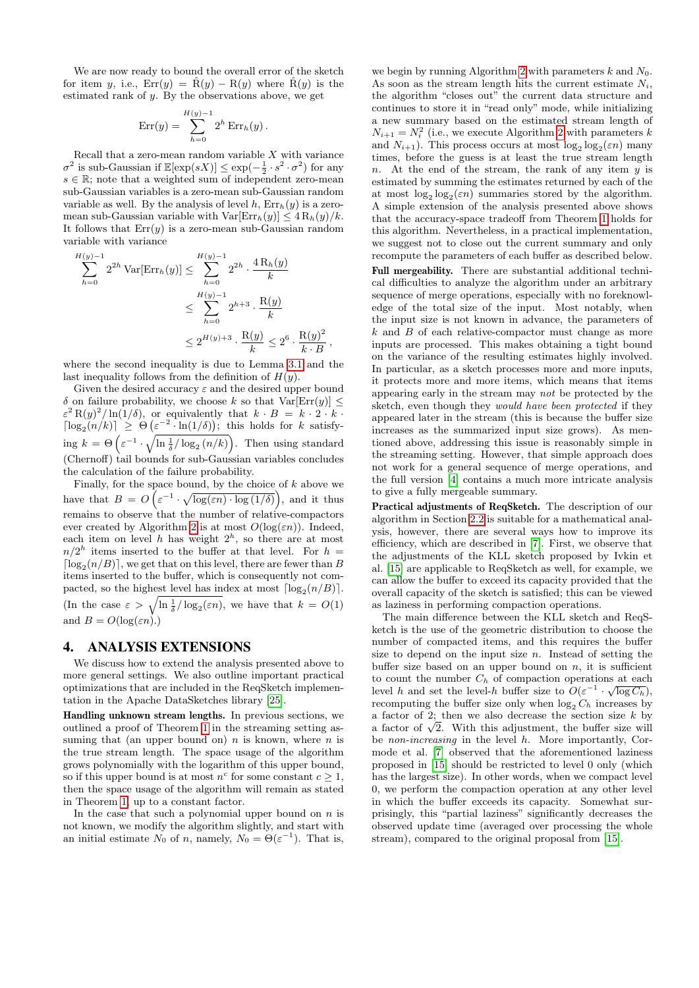We are now ready to bound the overall error of the sketch for item y, i.e.,  $Err(y) = \hat{R}(y) - R(y)$  where  $\hat{R}(y)$  is the estimated rank of y. By the observations above, we get

$$
Err(y) = \sum_{h=0}^{H(y)-1} 2^h Err_h(y).
$$

Recall that a zero-mean random variable  $X$  with variance  $\sigma^2$  is sub-Gaussian if  $\mathbb{E}[\exp(sX)] \leq \exp(-\frac{1}{2} \cdot s^2 \cdot \sigma^2)$  for any  $s \in \mathbb{R}$ ; note that a weighted sum of independent zero-mean sub-Gaussian variables is a zero-mean sub-Gaussian random variable as well. By the analysis of level h,  $Err_h(y)$  is a zeromean sub-Gaussian variable with  $Var[Err_h(y)] \leq 4 R_h(y)/k$ . It follows that  $Err(y)$  is a zero-mean sub-Gaussian random variable with variance

$$
\sum_{h=0}^{H(y)-1} 2^{2h} \operatorname{Var}[\operatorname{Err}_h(y)] \le \sum_{h=0}^{H(y)-1} 2^{2h} \cdot \frac{4 \operatorname{R}_h(y)}{k}
$$
  

$$
\le \sum_{h=0}^{H(y)-1} 2^{h+3} \cdot \frac{\operatorname{R}(y)}{k}
$$
  

$$
\le 2^{H(y)+3} \cdot \frac{\operatorname{R}(y)}{k} \le 2^6 \cdot \frac{\operatorname{R}(y)^2}{k \cdot B},
$$

where the second inequality is due to Lemma [3.1](#page-5-0) and the last inequality follows from the definition of  $H(y)$ .

Given the desired accuracy  $\varepsilon$  and the desired upper bound δ on failure probability, we choose k so that  $Var[Err(y)] \le$  $\varepsilon^2 R(y)^2 / \ln(1/\delta)$ , or equivalently that  $k \cdot B = k \cdot 2 \cdot k$ .  $\lceil \log_2(n/k) \rceil \geq \Theta\left(\varepsilon^{-2} \cdot \ln(1/\delta)\right);$  this holds for k satisfying  $k = \Theta\left(\varepsilon^{-1} \cdot \sqrt{\ln \frac{1}{\delta} / \log_2{(n/k)}}\right)$ . Then using standard (Chernoff) tail bounds for sub-Gaussian variables concludes the calculation of the failure probability.

Finally, for the space bound, by the choice of  $k$  above we have that  $B = O\left(\varepsilon^{-1} \cdot \sqrt{\log(\varepsilon n) \cdot \log(1/\delta)}\right)$ , and it thus remains to observe that the number of relative-compactors ever created by Algorithm [2](#page-4-3) is at most  $O(\log(\varepsilon n))$ . Indeed, each item on level h has weight  $2<sup>h</sup>$ , so there are at most  $n/2<sup>h</sup>$  items inserted to the buffer at that level. For  $h =$  $\lceil \log_2(n/B) \rceil$ , we get that on this level, there are fewer than B items inserted to the buffer, which is consequently not compacted, so the highest level has index at most  $\lceil \log_2(n/B) \rceil$ . (In the case  $\varepsilon > \sqrt{\ln \frac{1}{\delta} / \log_2(\varepsilon n)}$ , we have that  $k = O(1)$ and  $B = O(\log(\varepsilon n))$ .

#### <span id="page-6-0"></span>4. ANALYSIS EXTENSIONS

We discuss how to extend the analysis presented above to more general settings. We also outline important practical optimizations that are included in the ReqSketch implementation in the Apache DataSketches library [\[25\]](#page-7-18).

Handling unknown stream lengths. In previous sections, we outlined a proof of Theorem [1](#page-1-0) in the streaming setting assuming that (an upper bound on)  $n$  is known, where  $n$  is the true stream length. The space usage of the algorithm grows polynomially with the logarithm of this upper bound, so if this upper bound is at most  $n^c$  for some constant  $c \geq 1$ , then the space usage of the algorithm will remain as stated in Theorem [1,](#page-1-0) up to a constant factor.

In the case that such a polynomial upper bound on  $n$  is not known, we modify the algorithm slightly, and start with an initial estimate  $N_0$  of n, namely,  $N_0 = \Theta(\varepsilon^{-1})$ . That is,

we begin by running Algorithm [2](#page-4-3) with parameters  $k$  and  $N_0$ . As soon as the stream length hits the current estimate  $N_i$ , the algorithm "closes out" the current data structure and continues to store it in "read only" mode, while initializing a new summary based on the estimated stream length of  $N_{i+1} = N_i^2$  (i.e., we execute Algorithm [2](#page-4-3) with parameters k and  $N_{i+1}$ ). This process occurs at most  $\log_2 \log_2(\varepsilon n)$  many times, before the guess is at least the true stream length n. At the end of the stream, the rank of any item  $y$  is estimated by summing the estimates returned by each of the at most  $\log_2 \log_2(\varepsilon n)$  summaries stored by the algorithm. A simple extension of the analysis presented above shows that the accuracy-space tradeoff from Theorem [1](#page-1-0) holds for this algorithm. Nevertheless, in a practical implementation, we suggest not to close out the current summary and only recompute the parameters of each buffer as described below.

Full mergeability. There are substantial additional technical difficulties to analyze the algorithm under an arbitrary sequence of merge operations, especially with no foreknowledge of the total size of the input. Most notably, when the input size is not known in advance, the parameters of  $k$  and  $B$  of each relative-compactor must change as more inputs are processed. This makes obtaining a tight bound on the variance of the resulting estimates highly involved. In particular, as a sketch processes more and more inputs, it protects more and more items, which means that items appearing early in the stream may not be protected by the sketch, even though they would have been protected if they appeared later in the stream (this is because the buffer size increases as the summarized input size grows). As mentioned above, addressing this issue is reasonably simple in the streaming setting. However, that simple approach does not work for a general sequence of merge operations, and the full version [\[4\]](#page-7-22) contains a much more intricate analysis to give a fully mergeable summary.

Practical adjustments of ReqSketch. The description of our algorithm in Section [2.2](#page-4-0) is suitable for a mathematical analysis, however, there are several ways how to improve its efficiency, which are described in [\[7\]](#page-7-23). First, we observe that the adjustments of the KLL sketch proposed by Ivkin et al. [\[15\]](#page-7-28) are applicable to ReqSketch as well, for example, we can allow the buffer to exceed its capacity provided that the overall capacity of the sketch is satisfied; this can be viewed as laziness in performing compaction operations.

The main difference between the KLL sketch and ReqSketch is the use of the geometric distribution to choose the number of compacted items, and this requires the buffer size to depend on the input size  $n$ . Instead of setting the buffer size based on an upper bound on  $n$ , it is sufficient to count the number  $C_h$  of compaction operations at each level h and set the level-h buffer size to  $O(\varepsilon^{-1} \cdot \sqrt{\log C_h})$ , recomputing the buffer size only when  $\log_2 C_h$  increases by a factor of 2; then we also decrease the section size  $k$  by a factor of 2; then we also decrease the section size k by<br>a factor of  $\sqrt{2}$ . With this adjustment, the buffer size will be non-increasing in the level h. More importantly, Cormode et al. [\[7\]](#page-7-23) observed that the aforementioned laziness proposed in [\[15\]](#page-7-28) should be restricted to level 0 only (which has the largest size). In other words, when we compact level 0, we perform the compaction operation at any other level in which the buffer exceeds its capacity. Somewhat surprisingly, this "partial laziness" significantly decreases the observed update time (averaged over processing the whole stream), compared to the original proposal from [\[15\]](#page-7-28).